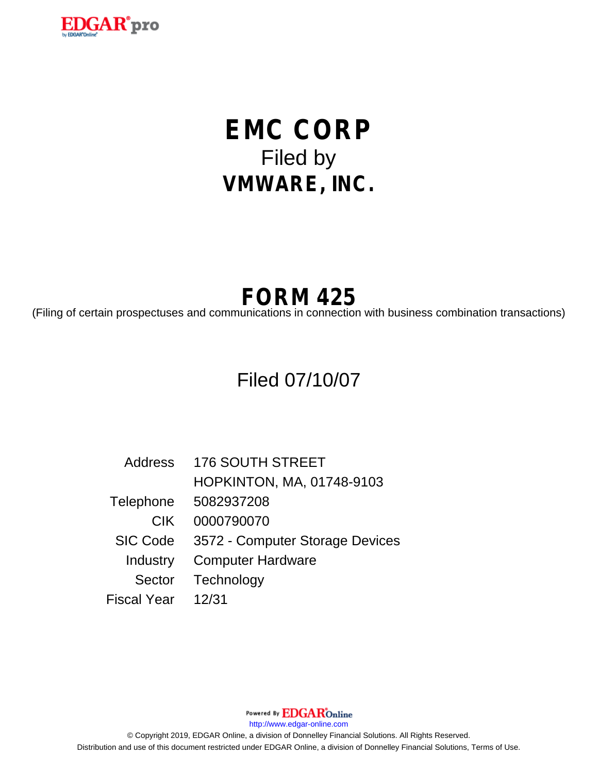

# **EMC CORP** Filed by **VMWARE, INC.**

## **FORM 425**

(Filing of certain prospectuses and communications in connection with business combination transactions)

### Filed 07/10/07

Address 176 SOUTH STREET HOPKINTON, MA, 01748-9103 Telephone 5082937208 CIK 0000790070 SIC Code 3572 - Computer Storage Devices Industry Computer Hardware Sector Technology Fiscal Year 12/31

Powered By **EDGAR**Online http://www.edgar-online.com © Copyright 2019, EDGAR Online, a division of Donnelley Financial Solutions. All Rights Reserved. Distribution and use of this document restricted under EDGAR Online, a division of Donnelley Financial Solutions, Terms of Use.